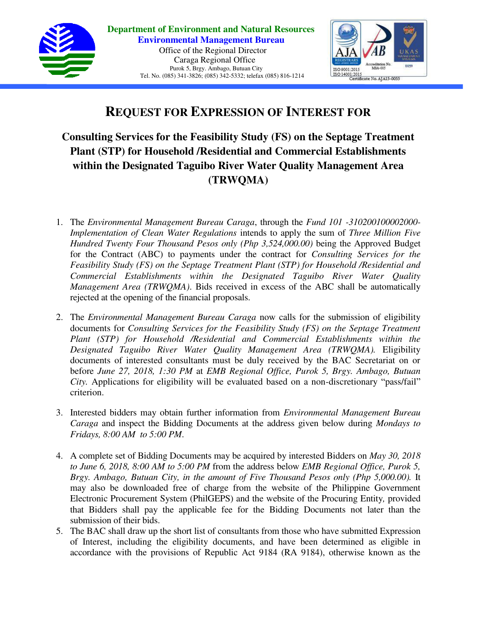



# **REQUEST FOR EXPRESSION OF INTEREST FOR**

**Consulting Services for the Feasibility Study (FS) on the Septage Treatment Plant (STP) for Household /Residential and Commercial Establishments within the Designated Taguibo River Water Quality Management Area (TRWQMA)**

- 1. The *Environmental Management Bureau Caraga*, through the *Fund 101 -310200100002000- Implementation of Clean Water Regulations* intends to apply the sum of *Three Million Five Hundred Twenty Four Thousand Pesos only (Php 3,524,000.00)* being the Approved Budget for the Contract (ABC) to payments under the contract for *Consulting Services for the Feasibility Study (FS) on the Septage Treatment Plant (STP) for Household /Residential and Commercial Establishments within the Designated Taguibo River Water Quality Management Area (TRWQMA)*. Bids received in excess of the ABC shall be automatically rejected at the opening of the financial proposals.
- 2. The *Environmental Management Bureau Caraga* now calls for the submission of eligibility documents for *Consulting Services for the Feasibility Study (FS) on the Septage Treatment Plant (STP) for Household /Residential and Commercial Establishments within the Designated Taguibo River Water Quality Management Area (TRWQMA).* Eligibility documents of interested consultants must be duly received by the BAC Secretariat on or before *June 27, 2018, 1:30 PM* at *EMB Regional Office, Purok 5, Brgy. Ambago, Butuan City.* Applications for eligibility will be evaluated based on a non-discretionary "pass/fail" criterion.
- 3. Interested bidders may obtain further information from *Environmental Management Bureau Caraga* and inspect the Bidding Documents at the address given below during *Mondays to Fridays, 8:00 AM to 5:00 PM*.
- 4. A complete set of Bidding Documents may be acquired by interested Bidders on *May 30, 2018 to June 6, 2018, 8:00 AM to 5:00 PM* from the address below *EMB Regional Office, Purok 5, Brgy. Ambago, Butuan City, in the amount of Five Thousand Pesos only (Php 5,000.00).* It may also be downloaded free of charge from the website of the Philippine Government Electronic Procurement System (PhilGEPS) and the website of the Procuring Entity*,* provided that Bidders shall pay the applicable fee for the Bidding Documents not later than the submission of their bids.
- 5. The BAC shall draw up the short list of consultants from those who have submitted Expression of Interest, including the eligibility documents, and have been determined as eligible in accordance with the provisions of Republic Act 9184 (RA 9184), otherwise known as the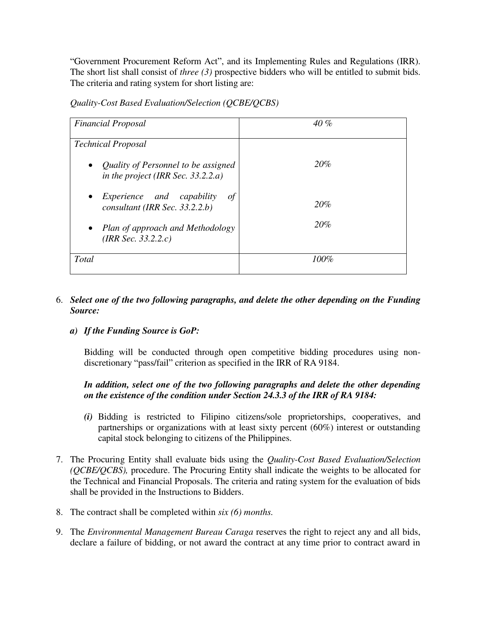"Government Procurement Reform Act", and its Implementing Rules and Regulations (IRR). The short list shall consist of *three (3)* prospective bidders who will be entitled to submit bids. The criteria and rating system for short listing are:

| <b>Financial Proposal</b>                                                   | 40%     |
|-----------------------------------------------------------------------------|---------|
| <b>Technical Proposal</b>                                                   |         |
| • Quality of Personnel to be assigned<br>in the project (IRR Sec. 33.2.2.a) | 20%     |
| • Experience and capability<br>$\sigma f$<br>consultant (IRR Sec. 33.2.2.b) | 20%     |
| • Plan of approach and Methodology<br>(IRR Sec. $33.2.2.c$ )                | 20%     |
| Total                                                                       | $100\%$ |

*Quality-Cost Based Evaluation/Selection (QCBE/QCBS)* 

#### 6. *Select one of the two following paragraphs, and delete the other depending on the Funding Source:*

## *a) If the Funding Source is GoP:*

Bidding will be conducted through open competitive bidding procedures using nondiscretionary "pass/fail" criterion as specified in the IRR of RA 9184.

## *In addition, select one of the two following paragraphs and delete the other depending on the existence of the condition under Section 24.3.3 of the IRR of RA 9184:*

- *(i)* Bidding is restricted to Filipino citizens/sole proprietorships, cooperatives, and partnerships or organizations with at least sixty percent (60%) interest or outstanding capital stock belonging to citizens of the Philippines.
- 7. The Procuring Entity shall evaluate bids using the *Quality-Cost Based Evaluation/Selection (QCBE/QCBS),* procedure. The Procuring Entity shall indicate the weights to be allocated for the Technical and Financial Proposals. The criteria and rating system for the evaluation of bids shall be provided in the Instructions to Bidders.
- 8. The contract shall be completed within *six (6) months.*
- 9. The *Environmental Management Bureau Caraga* reserves the right to reject any and all bids, declare a failure of bidding, or not award the contract at any time prior to contract award in